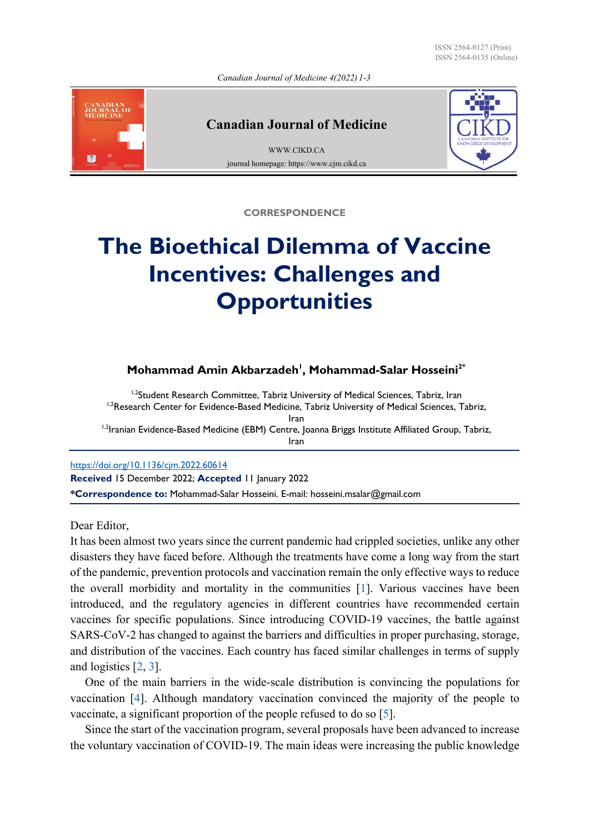ISSN 2564-0127 (Print) ISSN 2564-0135 (Online)

*Canadian Journal of Medicine 4(2022) 1-3*



**Canadian Journal of Medicine**

WWW.CIKD.CA journal homepage: https://www.cjm.cikd.ca



**CORRESPONDENCE**

# **The Bioethical Dilemma of Vaccine Incentives: Challenges and Opportunities**

#### **Mohammad Amin Akbarzadeh<sup>1</sup> , Mohammad-Salar Hosseini2\***

1,2Student Research Committee, Tabriz University of Medical Sciences, Tabriz, Iran <sup>1,2</sup> Research Center for Evidence-Based Medicine, Tabriz University of Medical Sciences, Tabriz, Iran <sup>1,2</sup>Iranian Evidence-Based Medicine (EBM) Centre, Joanna Briggs Institute Affiliated Group, Tabriz, Iran

https://doi.org/10.1136/cjm.2022.60614

**Received** 15 December 2022; **Accepted** 11 January 2022

**\*Correspondence to:** Mohammad-Salar Hosseini. E-mail: hosseini.msalar@gmail.com

Dear Editor,

<span id="page-0-0"></span>It has been almost two years since the current pandemic had crippled societies, unlike any other disasters they have faced before. Although the treatments have come a long way from the start of the pandemic, prevention protocols and vaccination remain the only effective ways to reduce the overall morbidity and mortality in the communities [[1\]](#page-2-0). Various vaccines have been introduced, and the regulatory agencies in different countries have recommended certain vaccines for specific populations. Since introducing COVID-19 vaccines, the battle against SARS-CoV-2 has changed to against the barriers and difficulties in proper purchasing, storage, and distribution of the vaccines. Each country has faced similar challenges in terms of supply and logistics [\[2](#page-2-0), [3](#page-2-0)].

<span id="page-0-3"></span><span id="page-0-2"></span><span id="page-0-1"></span> One of the main barriers in the wide-scale distribution is convincing the populations for vaccination [[4\]](#page-2-0). Although mandatory vaccination convinced the majority of the people to vaccinate, a significant proportion of the people refused to do so [[5\]](#page-2-0).

<span id="page-0-4"></span> Since the start of the vaccination program, several proposals have been advanced to increase the voluntary vaccination of COVID-19. The main ideas were increasing the public knowledge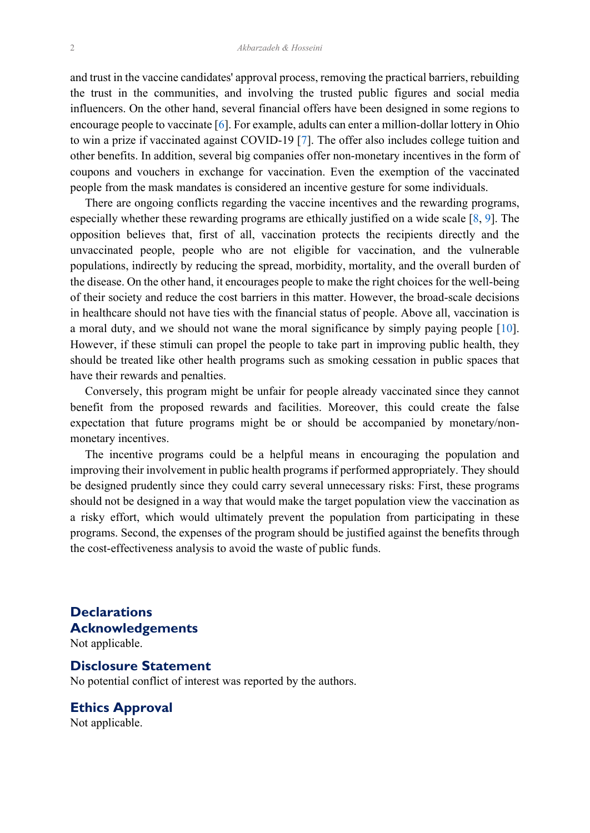<span id="page-1-1"></span><span id="page-1-0"></span>and trust in the vaccine candidates' approval process, removing the practical barriers, rebuilding the trust in the communities, and involving the trusted public figures and social media influencers. On the other hand, several financial offers have been designed in some regions to encourage people to vaccinate [\[6\]](#page-2-1). For example, adults can enter a million-dollar lottery in Ohio to win a prize if vaccinated against COVID-19 [\[7\]](#page-2-2). The offer also includes college tuition and other benefits. In addition, several big companies offer non-monetary incentives in the form of coupons and vouchers in exchange for vaccination. Even the exemption of the vaccinated people from the mask mandates is considered an incentive gesture for some individuals.

<span id="page-1-3"></span><span id="page-1-2"></span> There are ongoing conflicts regarding the vaccine incentives and the rewarding programs, especially whether these rewarding programs are ethically justified on a wide scale [\[8,](#page-2-3) [9\]](#page-2-4). The opposition believes that, first of all, vaccination protects the recipients directly and the unvaccinated people, people who are not eligible for vaccination, and the vulnerable populations, indirectly by reducing the spread, morbidity, mortality, and the overall burden of the disease. On the other hand, it encourages people to make the right choices for the well-being of their society and reduce the cost barriers in this matter. However, the broad-scale decisions in healthcare should not have ties with the financial status of people. Above all, vaccination is a moral duty, and we should not wane the moral significance by simply paying people [\[10\]](#page-2-5). However, if these stimuli can propel the people to take part in improving public health, they should be treated like other health programs such as smoking cessation in public spaces that have their rewards and penalties.

<span id="page-1-4"></span> Conversely, this program might be unfair for people already vaccinated since they cannot benefit from the proposed rewards and facilities. Moreover, this could create the false expectation that future programs might be or should be accompanied by monetary/nonmonetary incentives.

 The incentive programs could be a helpful means in encouraging the population and improving their involvement in public health programs if performed appropriately. They should be designed prudently since they could carry several unnecessary risks: First, these programs should not be designed in a way that would make the target population view the vaccination as a risky effort, which would ultimately prevent the population from participating in these programs. Second, the expenses of the program should be justified against the benefits through the cost-effectiveness analysis to avoid the waste of public funds.

**Declarations Acknowledgements** Not applicable.

# **Disclosure Statement**

No potential conflict of interest was reported by the authors.

**Ethics Approval** Not applicable.